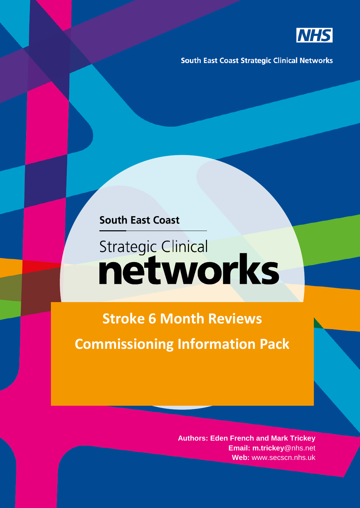

**South East Coast Strategic Clinical Networks** 

**South East Coast** 

## **Strategic Clinical** networks

**Stroke 6 Month Reviews Commissioning Information Pack**

> **Authors: Eden French and Mark Trickey Email: m.trickey**@nhs.net **Web:** www.secscn.nhs.uk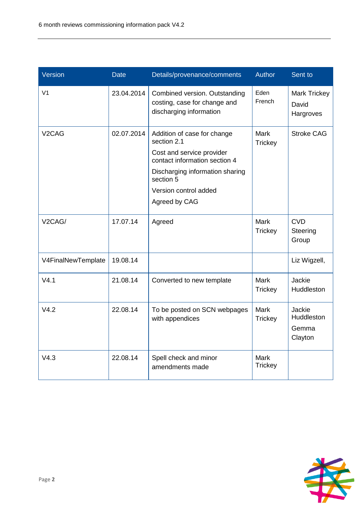| Version             | <b>Date</b> | Details/provenance/comments                                                                                                                                                                        | Author                        | Sent to                                   |
|---------------------|-------------|----------------------------------------------------------------------------------------------------------------------------------------------------------------------------------------------------|-------------------------------|-------------------------------------------|
| V <sub>1</sub>      | 23.04.2014  | Combined version. Outstanding<br>costing, case for change and<br>discharging information                                                                                                           | Eden<br>French                | <b>Mark Trickey</b><br>David<br>Hargroves |
| V <sub>2</sub> CAG  | 02.07.2014  | Addition of case for change<br>section 2.1<br>Cost and service provider<br>contact information section 4<br>Discharging information sharing<br>section 5<br>Version control added<br>Agreed by CAG | <b>Mark</b><br><b>Trickey</b> | <b>Stroke CAG</b>                         |
| V <sub>2</sub> CAG/ | 17.07.14    | Agreed                                                                                                                                                                                             | <b>Mark</b><br><b>Trickey</b> | <b>CVD</b><br>Steering<br>Group           |
| V4FinalNewTemplate  | 19.08.14    |                                                                                                                                                                                                    |                               | Liz Wigzell,                              |
| V4.1                | 21.08.14    | Converted to new template                                                                                                                                                                          | <b>Mark</b><br><b>Trickey</b> | Jackie<br>Huddleston                      |
| V4.2                | 22.08.14    | To be posted on SCN webpages<br>with appendices                                                                                                                                                    | <b>Mark</b><br><b>Trickey</b> | Jackie<br>Huddleston<br>Gemma<br>Clayton  |
| V4.3                | 22.08.14    | Spell check and minor<br>amendments made                                                                                                                                                           | <b>Mark</b><br><b>Trickey</b> |                                           |

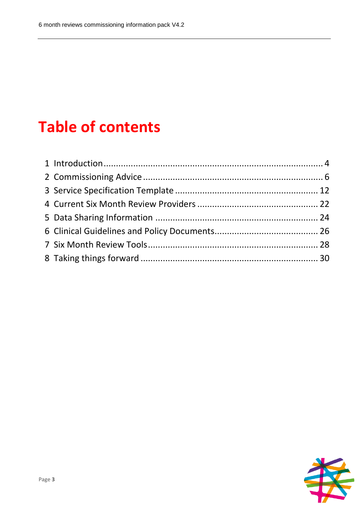## **Table of contents**

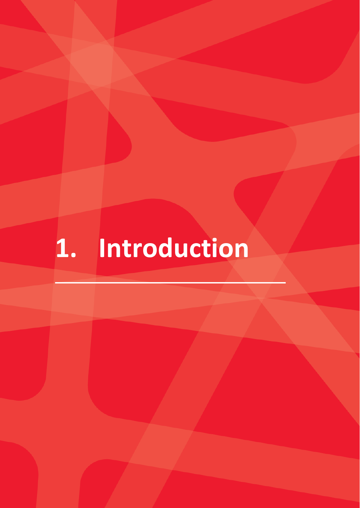# **1. Introduction**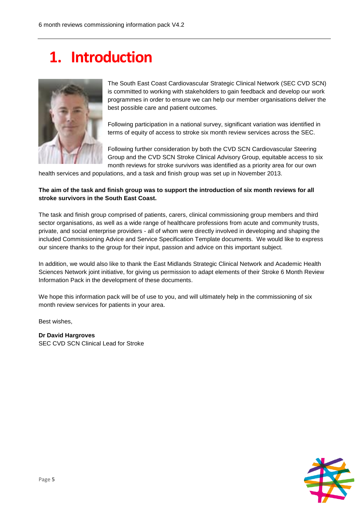### **1. Introduction**



The South East Coast Cardiovascular Strategic Clinical Network (SEC CVD SCN) is committed to working with stakeholders to gain feedback and develop our work programmes in order to ensure we can help our member organisations deliver the best possible care and patient outcomes.

Following participation in a national survey, significant variation was identified in terms of equity of access to stroke six month review services across the SEC.

Following further consideration by both the CVD SCN Cardiovascular Steering Group and the CVD SCN Stroke Clinical Advisory Group, equitable access to six month reviews for stroke survivors was identified as a priority area for our own

health services and populations, and a task and finish group was set up in November 2013.

#### **The aim of the task and finish group was to support the introduction of six month reviews for all stroke survivors in the South East Coast.**

The task and finish group comprised of patients, carers, clinical commissioning group members and third sector organisations, as well as a wide range of healthcare professions from acute and community trusts, private, and social enterprise providers - all of whom were directly involved in developing and shaping the included Commissioning Advice and Service Specification Template documents. We would like to express our sincere thanks to the group for their input, passion and advice on this important subject.

In addition, we would also like to thank the East Midlands Strategic Clinical Network and Academic Health Sciences Network joint initiative, for giving us permission to adapt elements of their Stroke 6 Month Review Information Pack in the development of these documents.

We hope this information pack will be of use to you, and will ultimately help in the commissioning of six month review services for patients in your area.

Best wishes,

**Dr David Hargroves** SEC CVD SCN Clinical Lead for Stroke

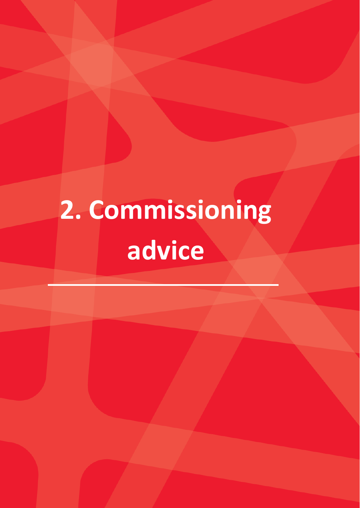# **2. Commissioning advice**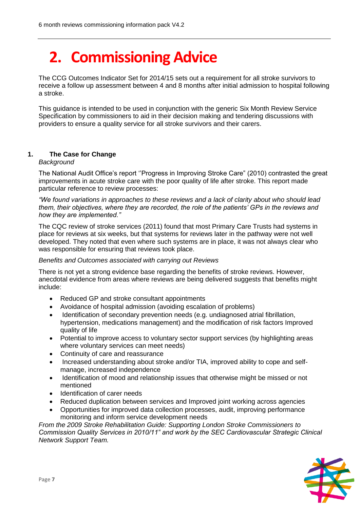## **2. Commissioning Advice**

The CCG Outcomes Indicator Set for 2014/15 sets out a requirement for all stroke survivors to receive a follow up assessment between 4 and 8 months after initial admission to hospital following a stroke.

This guidance is intended to be used in conjunction with the generic Six Month Review Service Specification by commissioners to aid in their decision making and tendering discussions with providers to ensure a quality service for all stroke survivors and their carers.

#### **1. The Case for Change**

#### *Background*

The National Audit Office's report ''Progress in Improving Stroke Care" (2010) contrasted the great improvements in acute stroke care with the poor quality of life after stroke. This report made particular reference to review processes:

*"We found variations in approaches to these reviews and a lack of clarity about who should lead them, their objectives, where they are recorded, the role of the patients' GPs in the reviews and how they are implemented."* 

The CQC review of stroke services (2011) found that most Primary Care Trusts had systems in place for reviews at six weeks, but that systems for reviews later in the pathway were not well developed. They noted that even where such systems are in place, it was not always clear who was responsible for ensuring that reviews took place.

#### *Benefits and Outcomes associated with carrying out Reviews*

There is not yet a strong evidence base regarding the benefits of stroke reviews. However, anecdotal evidence from areas where reviews are being delivered suggests that benefits might include:

- Reduced GP and stroke consultant appointments
- Avoidance of hospital admission (avoiding escalation of problems)
- Identification of secondary prevention needs (e.g. undiagnosed atrial fibrillation, hypertension, medications management) and the modification of risk factors Improved quality of life
- Potential to improve access to voluntary sector support services (by highlighting areas where voluntary services can meet needs)
- Continuity of care and reassurance
- Increased understanding about stroke and/or TIA, improved ability to cope and selfmanage, increased independence
- Identification of mood and relationship issues that otherwise might be missed or not mentioned
- Identification of carer needs
- Reduced duplication between services and Improved joint working across agencies
- Opportunities for improved data collection processes, audit, improving performance monitoring and inform service development needs

*From the 2009 Stroke Rehabilitation Guide: Supporting London Stroke Commissioners to Commission Quality Services in 2010/11" and work by the SEC Cardiovascular Strategic Clinical Network Support Team.*

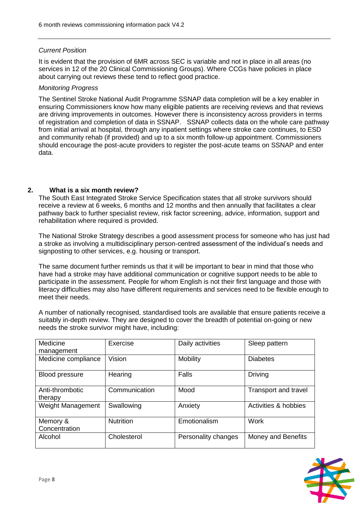#### *Current Position*

It is evident that the provision of 6MR across SEC is variable and not in place in all areas (no services in 12 of the 20 Clinical Commissioning Groups). Where CCGs have policies in place about carrying out reviews these tend to reflect good practice.

#### *Monitoring Progress*

The Sentinel Stroke National Audit Programme SSNAP data completion will be a key enabler in ensuring Commissioners know how many eligible patients are receiving reviews and that reviews are driving improvements in outcomes. However there is inconsistency across providers in terms of registration and completion of data in SSNAP. SSNAP collects data on the whole care pathway from initial arrival at hospital, through any inpatient settings where stroke care continues, to ESD and community rehab (if provided) and up to a six month follow-up appointment. Commissioners should encourage the post-acute providers to register the post-acute teams on SSNAP and enter data.

#### **2. What is a six month review?**

The South East Integrated Stroke Service Specification states that all stroke survivors should receive a review at 6 weeks, 6 months and 12 months and then annually that facilitates a clear pathway back to further specialist review, risk factor screening, advice, information, support and rehabilitation where required is provided.

The National Stroke Strategy describes a good assessment process for someone who has just had a stroke as involving a multidisciplinary person-centred assessment of the individual's needs and signposting to other services, e.g. housing or transport.

The same document further reminds us that it will be important to bear in mind that those who have had a stroke may have additional communication or cognitive support needs to be able to participate in the assessment. People for whom English is not their first language and those with literacy difficulties may also have different requirements and services need to be flexible enough to meet their needs.

A number of nationally recognised, standardised tools are available that ensure patients receive a suitably in-depth review. They are designed to cover the breadth of potential on-going or new needs the stroke survivor might have, including:

| Medicine                   | Exercise         | Daily activities    | Sleep pattern        |
|----------------------------|------------------|---------------------|----------------------|
| management                 |                  |                     |                      |
| Medicine compliance        | Vision           | Mobility            | <b>Diabetes</b>      |
| <b>Blood pressure</b>      | Hearing          | Falls               | <b>Driving</b>       |
| Anti-thrombotic<br>therapy | Communication    | Mood                | Transport and travel |
| Weight Management          | Swallowing       | Anxiety             | Activities & hobbies |
| Memory &<br>Concentration  | <b>Nutrition</b> | Emotionalism        | <b>Work</b>          |
| Alcohol                    | Cholesterol      | Personality changes | Money and Benefits   |

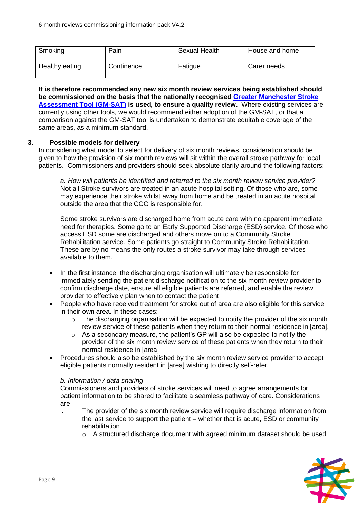| Smoking        | Pain       | <b>Sexual Health</b> | House and home |
|----------------|------------|----------------------|----------------|
| Healthy eating | Continence | Fatigue              | Carer needs    |

**It is therefore recommended any new six month review services being established should be commissioned on the basis that the nationally recognised [Greater Manchester Stroke](http://clahrc-gm.nihr.ac.uk/stroke/GM-SAT_The_Greater_Manchester_Stroke_Assessment_Tool-1.pdf)  [Assessment Tool \(GM-SAT\)](http://clahrc-gm.nihr.ac.uk/stroke/GM-SAT_The_Greater_Manchester_Stroke_Assessment_Tool-1.pdf) is used, to ensure a quality review.** Where existing services are currently using other tools, we would recommend either adoption of the GM-SAT, or that a comparison against the GM-SAT tool is undertaken to demonstrate equitable coverage of the same areas, as a minimum standard.

#### **3. Possible models for delivery**

In considering what model to select for delivery of six month reviews, consideration should be given to how the provision of six month reviews will sit within the overall stroke pathway for local patients. Commissioners and providers should seek absolute clarity around the following factors:

*a. How will patients be identified and referred to the six month review service provider?* Not all Stroke survivors are treated in an acute hospital setting. Of those who are, some may experience their stroke whilst away from home and be treated in an acute hospital outside the area that the CCG is responsible for.

Some stroke survivors are discharged home from acute care with no apparent immediate need for therapies. Some go to an Early Supported Discharge (ESD) service. Of those who access ESD some are discharged and others move on to a Community Stroke Rehabilitation service. Some patients go straight to Community Stroke Rehabilitation. These are by no means the only routes a stroke survivor may take through services available to them.

- In the first instance, the discharging organisation will ultimately be responsible for immediately sending the patient discharge notification to the six month review provider to confirm discharge date, ensure all eligible patients are referred, and enable the review provider to effectively plan when to contact the patient.
- People who have received treatment for stroke out of area are also eligible for this service in their own area. In these cases:
	- o The discharging organisation will be expected to notify the provider of the six month review service of these patients when they return to their normal residence in [area].
	- o As a secondary measure, the patient's GP will also be expected to notify the provider of the six month review service of these patients when they return to their normal residence in [area]
- Procedures should also be established by the six month review service provider to accept eligible patients normally resident in [area] wishing to directly self-refer.

#### *b. Information / data sharing*

Commissioners and providers of stroke services will need to agree arrangements for patient information to be shared to facilitate a seamless pathway of care. Considerations are:

- i. The provider of the six month review service will require discharge information from the last service to support the patient – whether that is acute, ESD or community rehabilitation
	- $\circ$  A structured discharge document with agreed minimum dataset should be used

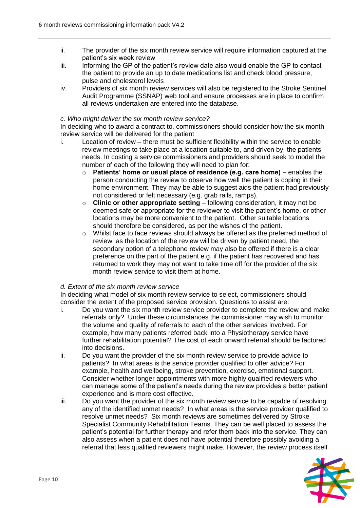- ii. The provider of the six month review service will require information captured at the patient's six week review
- iii. Informing the GP of the patient's review date also would enable the GP to contact the patient to provide an up to date medications list and check blood pressure, pulse and cholesterol levels
- iv. Providers of six month review services will also be registered to the Stroke Sentinel Audit Programme (SSNAP) web tool and ensure processes are in place to confirm all reviews undertaken are entered into the database.

#### *c. Who might deliver the six month review service?*

In deciding who to award a contract to, commissioners should consider how the six month review service will be delivered for the patient

- i. Location of review there must be sufficient flexibility within the service to enable review meetings to take place at a location suitable to, and driven by, the patients' needs. In costing a service commissioners and providers should seek to model the number of each of the following they will need to plan for:
	- o **Patients' home or usual place of residence (e.g. care home)** enables the person conducting the review to observe how well the patient is coping in their home environment. They may be able to suggest aids the patient had previously not considered or felt necessary (e.g. grab rails, ramps).
	- o **Clinic or other appropriate setting** following consideration, it may not be deemed safe or appropriate for the reviewer to visit the patient's home, or other locations may be more convenient to the patient. Other suitable locations should therefore be considered, as per the wishes of the patient.
	- $\circ$  Whilst face to face reviews should always be offered as the preferred method of review, as the location of the review will be driven by patient need, the secondary option of a telephone review may also be offered if there is a clear preference on the part of the patient e.g. if the patient has recovered and has returned to work they may not want to take time off for the provider of the six month review service to visit them at home.

#### *d. Extent of the six month review service*

In deciding what model of six month review service to select, commissioners should consider the extent of the proposed service provision. Questions to assist are:

- i. Do you want the six month review service provider to complete the review and make referrals only? Under these circumstances the commissioner may wish to monitor the volume and quality of referrals to each of the other services involved. For example, how many patients referred back into a Physiotherapy service have further rehabilitation potential? The cost of each onward referral should be factored into decisions.
- ii. Do you want the provider of the six month review service to provide advice to patients? In what areas is the service provider qualified to offer advice? For example, health and wellbeing, stroke prevention, exercise, emotional support. Consider whether longer appointments with more highly qualified reviewers who can manage some of the patient's needs during the review provides a better patient experience and is more cost effective.
- iii. Do you want the provider of the six month review service to be capable of resolving any of the identified unmet needs? In what areas is the service provider qualified to resolve unmet needs? Six month reviews are sometimes delivered by Stroke Specialist Community Rehabilitation Teams. They can be well placed to assess the patient's potential for further therapy and refer them back into the service. They can also assess when a patient does not have potential therefore possibly avoiding a referral that less qualified reviewers might make. However, the review process itself

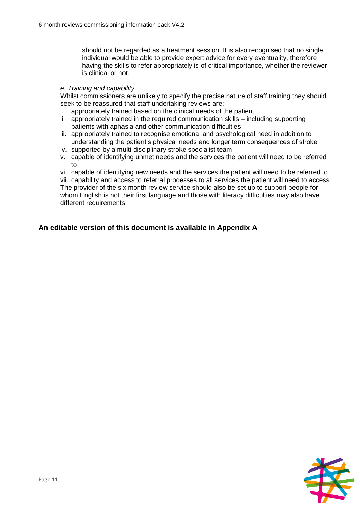should not be regarded as a treatment session. It is also recognised that no single individual would be able to provide expert advice for every eventuality, therefore having the skills to refer appropriately is of critical importance, whether the reviewer is clinical or not.

#### *e. Training and capability*

Whilst commissioners are unlikely to specify the precise nature of staff training they should seek to be reassured that staff undertaking reviews are:

- i. appropriately trained based on the clinical needs of the patient
- ii. appropriately trained in the required communication skills including supporting patients with aphasia and other communication difficulties
- iii. appropriately trained to recognise emotional and psychological need in addition to understanding the patient's physical needs and longer term consequences of stroke
- iv. supported by a multi-disciplinary stroke specialist team
- v. capable of identifying unmet needs and the services the patient will need to be referred to

vi. capable of identifying new needs and the services the patient will need to be referred to vii. capability and access to referral processes to all services the patient will need to access The provider of the six month review service should also be set up to support people for whom English is not their first language and those with literacy difficulties may also have different requirements.

#### **An editable version of this document is available in Appendix A**

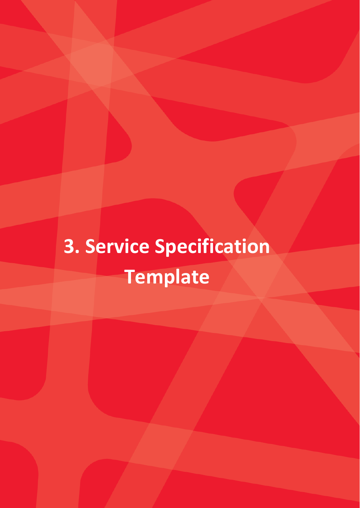## **3. Service Specification Template**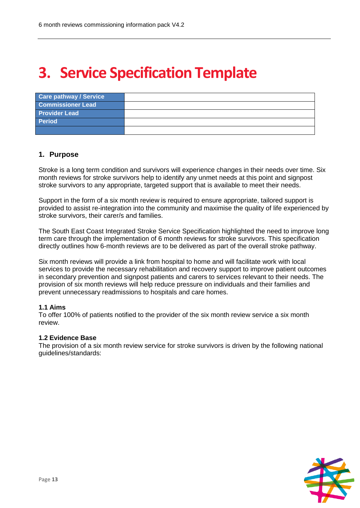### **3. Service Specification Template**

| <b>Care pathway / Service</b> |  |
|-------------------------------|--|
| <b>Commissioner Lead</b>      |  |
| <b>Provider Lead</b>          |  |
| <b>Period</b>                 |  |
|                               |  |

#### **1. Purpose**

Stroke is a long term condition and survivors will experience changes in their needs over time. Six month reviews for stroke survivors help to identify any unmet needs at this point and signpost stroke survivors to any appropriate, targeted support that is available to meet their needs.

Support in the form of a six month review is required to ensure appropriate, tailored support is provided to assist re-integration into the community and maximise the quality of life experienced by stroke survivors, their carer/s and families.

The South East Coast Integrated Stroke Service Specification highlighted the need to improve long term care through the implementation of 6 month reviews for stroke survivors. This specification directly outlines how 6-month reviews are to be delivered as part of the overall stroke pathway.

Six month reviews will provide a link from hospital to home and will facilitate work with local services to provide the necessary rehabilitation and recovery support to improve patient outcomes in secondary prevention and signpost patients and carers to services relevant to their needs. The provision of six month reviews will help reduce pressure on individuals and their families and prevent unnecessary readmissions to hospitals and care homes.

#### **1.1 Aims**

To offer 100% of patients notified to the provider of the six month review service a six month review.

#### **1.2 Evidence Base**

The provision of a six month review service for stroke survivors is driven by the following national guidelines/standards:

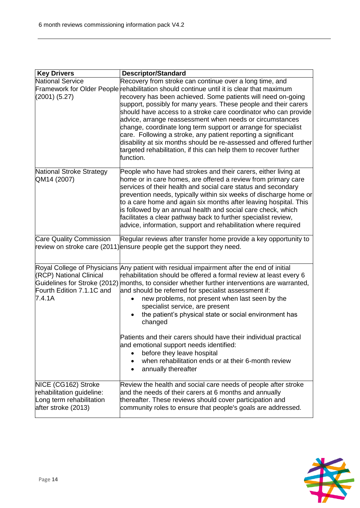| <b>Key Drivers</b>                                                           | <b>Descriptor/Standard</b>                                                                                                                                                                                                                                                                                                                                                                                                                                                                                                                                                                                                                                                                                       |
|------------------------------------------------------------------------------|------------------------------------------------------------------------------------------------------------------------------------------------------------------------------------------------------------------------------------------------------------------------------------------------------------------------------------------------------------------------------------------------------------------------------------------------------------------------------------------------------------------------------------------------------------------------------------------------------------------------------------------------------------------------------------------------------------------|
| <b>National Service</b><br>(2001) (5.27)                                     | Recovery from stroke can continue over a long time, and<br>Framework for Older People rehabilitation should continue until it is clear that maximum<br>recovery has been achieved. Some patients will need on-going<br>support, possibly for many years. These people and their carers<br>should have access to a stroke care coordinator who can provide<br>advice, arrange reassessment when needs or circumstances<br>change, coordinate long term support or arrange for specialist<br>care. Following a stroke, any patient reporting a significant<br>disability at six months should be re-assessed and offered further<br>targeted rehabilitation, if this can help them to recover further<br>function. |
| National Stroke Strategy<br>QM14 (2007)                                      | People who have had strokes and their carers, either living at<br>home or in care homes, are offered a review from primary care<br>services of their health and social care status and secondary<br>prevention needs, typically within six weeks of discharge home or<br>to a care home and again six months after leaving hospital. This<br>is followed by an annual health and social care check, which<br>facilitates a clear pathway back to further specialist review,<br>advice, information, support and rehabilitation where required                                                                                                                                                                    |
| <b>Care Quality Commission</b>                                               | Regular reviews after transfer home provide a key opportunity to<br>review on stroke care (2011) ensure people get the support they need.                                                                                                                                                                                                                                                                                                                                                                                                                                                                                                                                                                        |
| (RCP) National Clinical<br>Fourth Edition 7.1.1C and<br>7.4.1A               | Royal College of Physicians Any patient with residual impairment after the end of initial<br>rehabilitation should be offered a formal review at least every 6<br>Guidelines for Stroke (2012) months, to consider whether further interventions are warranted,<br>and should be referred for specialist assessment if:<br>new problems, not present when last seen by the<br>specialist service, are present<br>the patient's physical state or social environment has<br>changed<br>Patients and their carers should have their individual practical<br>and emotional support needs identified:<br>before they leave hospital<br>when rehabilitation ends or at their 6-month review<br>annually thereafter    |
| NICE (CG162) Stroke<br>rehabilitation guideline:<br>Long term rehabilitation | Review the health and social care needs of people after stroke<br>and the needs of their carers at 6 months and annually<br>thereafter. These reviews should cover participation and                                                                                                                                                                                                                                                                                                                                                                                                                                                                                                                             |
| after stroke (2013)                                                          | community roles to ensure that people's goals are addressed.                                                                                                                                                                                                                                                                                                                                                                                                                                                                                                                                                                                                                                                     |

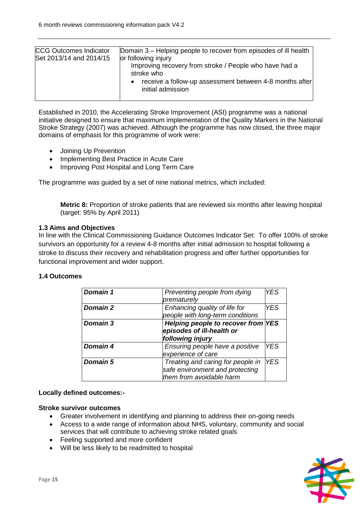| <b>CCG Outcomes Indicator</b><br>Set 2013/14 and 2014/15 | Domain 3 – Helping people to recover from episodes of ill health<br>or following injury<br>Improving recovery from stroke / People who have had a<br>stroke who<br>receive a follow-up assessment between 4-8 months after<br>initial admission |
|----------------------------------------------------------|-------------------------------------------------------------------------------------------------------------------------------------------------------------------------------------------------------------------------------------------------|
|                                                          |                                                                                                                                                                                                                                                 |

Established in 2010, the Accelerating Stroke Improvement (ASI) programme was a national initiative designed to ensure that maximum implementation of the Quality Markers in the National Stroke Strategy (2007) was achieved. Although the programme has now closed, the three major domains of emphasis for this programme of work were:

- Joining Up Prevention
- Implementing Best Practice in Acute Care
- Improving Post Hospital and Long Term Care

The programme was guided by a set of nine national metrics, which included:

**Metric 8:** Proportion of stroke patients that are reviewed six months after leaving hospital (target: 95% by April 2011)

#### **1.3 Aims and Objectives**

In line with the Clinical Commissioning Guidance Outcomes Indicator Set: To offer 100% of stroke survivors an opportunity for a review 4-8 months after initial admission to hospital following a stroke to discuss their recovery and rehabilitation progress and offer further opportunities for functional improvement and wider support.

#### **1.4 Outcomes**

| <b>Domain 1</b> | Preventing people from dying       | <b>YES</b> |
|-----------------|------------------------------------|------------|
|                 | prematurely                        |            |
| <b>Domain 2</b> | Enhancing quality of life for      | <b>YES</b> |
|                 | people with long-term conditions   |            |
| Domain 3        | Helping people to recover from YES |            |
|                 | episodes of ill-health or          |            |
|                 | following injury                   |            |
|                 |                                    |            |
| Domain 4        | Ensuring people have a positive    | <b>YES</b> |
|                 | experience of care                 |            |
| <b>Domain 5</b> | Treating and caring for people in  | <b>YES</b> |
|                 | safe environment and protecting    |            |

#### **Locally defined outcomes:-**

#### **Stroke survivor outcomes**

- Greater involvement in identifying and planning to address their on-going needs
- Access to a wide range of information about NHS, voluntary, community and social services that will contribute to achieving stroke related goals
- Feeling supported and more confident
- Will be less likely to be readmitted to hospital

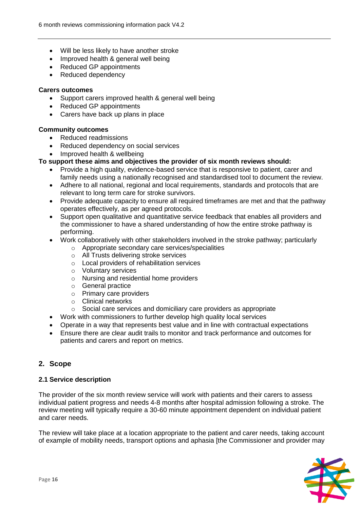- Will be less likely to have another stroke
- Improved health & general well being
- Reduced GP appointments
- Reduced dependency

#### **Carers outcomes**

- Support carers improved health & general well being
- Reduced GP appointments
- Carers have back up plans in place

#### **Community outcomes**

- Reduced readmissions
- Reduced dependency on social services
- Improved health & wellbeing

#### **To support these aims and objectives the provider of six month reviews should:**

- Provide a high quality, evidence-based service that is responsive to patient, carer and family needs using a nationally recognised and standardised tool to document the review.
- Adhere to all national, regional and local requirements, standards and protocols that are relevant to long term care for stroke survivors.
- Provide adequate capacity to ensure all required timeframes are met and that the pathway operates effectively, as per agreed protocols.
- Support open qualitative and quantitative service feedback that enables all providers and the commissioner to have a shared understanding of how the entire stroke pathway is performing.
- Work collaboratively with other stakeholders involved in the stroke pathway; particularly
	- o Appropriate secondary care services/specialities
	- o All Trusts delivering stroke services
	- o Local providers of rehabilitation services
	- o Voluntary services
	- o Nursing and residential home providers
	- o General practice
	- o Primary care providers
	- o Clinical networks
	- o Social care services and domiciliary care providers as appropriate
- Work with commissioners to further develop high quality local services
- Operate in a way that represents best value and in line with contractual expectations
- Ensure there are clear audit trails to monitor and track performance and outcomes for patients and carers and report on metrics.

#### **2. Scope**

#### **2.1 Service description**

The provider of the six month review service will work with patients and their carers to assess individual patient progress and needs 4-8 months after hospital admission following a stroke. The review meeting will typically require a 30-60 minute appointment dependent on individual patient and carer needs.

The review will take place at a location appropriate to the patient and carer needs, taking account of example of mobility needs, transport options and aphasia [the Commissioner and provider may

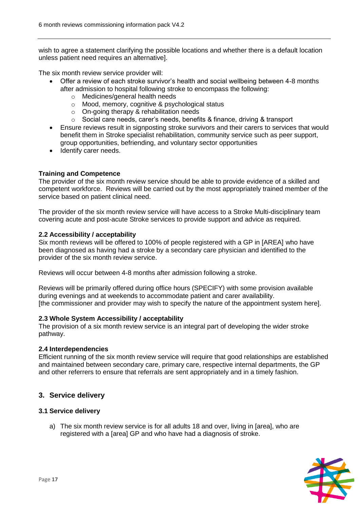wish to agree a statement clarifying the possible locations and whether there is a default location unless patient need requires an alternative].

The six month review service provider will:

- Offer a review of each stroke survivor's health and social wellbeing between 4-8 months after admission to hospital following stroke to encompass the following:
	- o Medicines/general health needs
	- o Mood, memory, cognitive & psychological status
	- o On-going therapy & rehabilitation needs
	- o Social care needs, carer's needs, benefits & finance, driving & transport
- Ensure reviews result in signposting stroke survivors and their carers to services that would benefit them in Stroke specialist rehabilitation, community service such as peer support, group opportunities, befriending, and voluntary sector opportunities
- Identify carer needs.

#### **Training and Competence**

The provider of the six month review service should be able to provide evidence of a skilled and competent workforce. Reviews will be carried out by the most appropriately trained member of the service based on patient clinical need.

The provider of the six month review service will have access to a Stroke Multi-disciplinary team covering acute and post-acute Stroke services to provide support and advice as required.

#### **2.2 Accessibility / acceptability**

Six month reviews will be offered to 100% of people registered with a GP in [AREA] who have been diagnosed as having had a stroke by a secondary care physician and identified to the provider of the six month review service.

Reviews will occur between 4-8 months after admission following a stroke.

Reviews will be primarily offered during office hours (SPECIFY) with some provision available during evenings and at weekends to accommodate patient and carer availability. [the commissioner and provider may wish to specify the nature of the appointment system here].

#### **2.3 Whole System Accessibility / acceptability**

The provision of a six month review service is an integral part of developing the wider stroke pathway.

#### **2.4 Interdependencies**

Efficient running of the six month review service will require that good relationships are established and maintained between secondary care, primary care, respective internal departments, the GP and other referrers to ensure that referrals are sent appropriately and in a timely fashion.

#### **3. Service delivery**

#### **3.1 Service delivery**

a) The six month review service is for all adults 18 and over, living in [area], who are registered with a [area] GP and who have had a diagnosis of stroke.

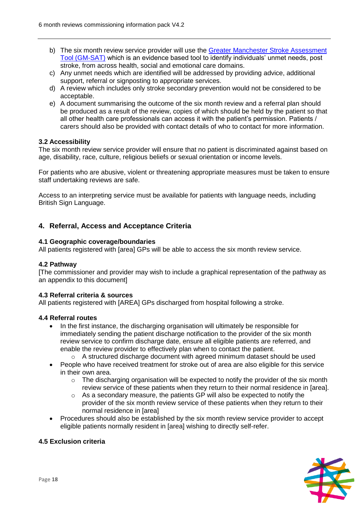- b) The six month review service provider will use the Greater Manchester Stroke Assessment [Tool \(GM-SAT\)](http://clahrc-gm.nihr.ac.uk/stroke/GM-SAT_The_Greater_Manchester_Stroke_Assessment_Tool-1.pdf) which is an evidence based tool to identify individuals' unmet needs, post stroke, from across health, social and emotional care domains.
- c) Any unmet needs which are identified will be addressed by providing advice, additional support, referral or signposting to appropriate services.
- d) A review which includes only stroke secondary prevention would not be considered to be acceptable.
- e) A document summarising the outcome of the six month review and a referral plan should be produced as a result of the review, copies of which should be held by the patient so that all other health care professionals can access it with the patient's permission. Patients / carers should also be provided with contact details of who to contact for more information.

#### **3.2 Accessibility**

The six month review service provider will ensure that no patient is discriminated against based on age, disability, race, culture, religious beliefs or sexual orientation or income levels.

For patients who are abusive, violent or threatening appropriate measures must be taken to ensure staff undertaking reviews are safe.

Access to an interpreting service must be available for patients with language needs, including British Sign Language.

#### **4. Referral, Access and Acceptance Criteria**

#### **4.1 Geographic coverage/boundaries**

All patients registered with [area] GPs will be able to access the six month review service.

#### **4.2 Pathway**

[The commissioner and provider may wish to include a graphical representation of the pathway as an appendix to this document]

#### **4.3 Referral criteria & sources**

All patients registered with [AREA] GPs discharged from hospital following a stroke.

#### **4.4 Referral routes**

- In the first instance, the discharging organisation will ultimately be responsible for immediately sending the patient discharge notification to the provider of the six month review service to confirm discharge date, ensure all eligible patients are referred, and enable the review provider to effectively plan when to contact the patient.
	- o A structured discharge document with agreed minimum dataset should be used
- People who have received treatment for stroke out of area are also eligible for this service in their own area.
	- $\circ$  The discharging organisation will be expected to notify the provider of the six month review service of these patients when they return to their normal residence in [area].
	- $\circ$  As a secondary measure, the patients GP will also be expected to notify the provider of the six month review service of these patients when they return to their normal residence in [area]
- Procedures should also be established by the six month review service provider to accept eligible patients normally resident in [area] wishing to directly self-refer.

#### **4.5 Exclusion criteria**

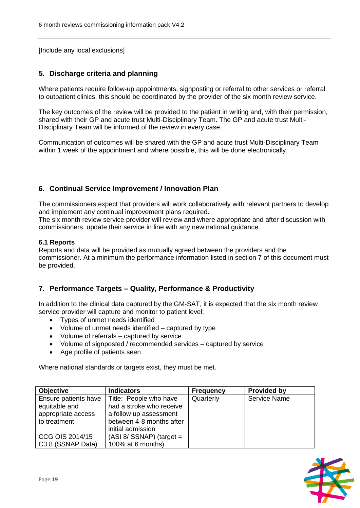[Include any local exclusions]

#### **5. Discharge criteria and planning**

Where patients require follow-up appointments, signposting or referral to other services or referral to outpatient clinics, this should be coordinated by the provider of the six month review service.

The key outcomes of the review will be provided to the patient in writing and, with their permission, shared with their GP and acute trust Multi-Disciplinary Team. The GP and acute trust Multi-Disciplinary Team will be informed of the review in every case.

Communication of outcomes will be shared with the GP and acute trust Multi-Disciplinary Team within 1 week of the appointment and where possible, this will be done electronically.

#### **6. Continual Service Improvement / Innovation Plan**

The commissioners expect that providers will work collaboratively with relevant partners to develop and implement any continual improvement plans required.

The six month review service provider will review and where appropriate and after discussion with commissioners, update their service in line with any new national guidance.

#### **6.1 Reports**

Reports and data will be provided as mutually agreed between the providers and the commissioner. At a minimum the performance information listed in section 7 of this document must be provided.

#### **7. Performance Targets – Quality, Performance & Productivity**

In addition to the clinical data captured by the GM-SAT, it is expected that the six month review service provider will capture and monitor to patient level:

- Types of unmet needs identified
- Volume of unmet needs identified captured by type
- Volume of referrals captured by service
- Volume of signposted / recommended services captured by service
- Age profile of patients seen

Where national standards or targets exist, they must be met.

| <b>Objective</b>       | <b>Indicators</b>          | <b>Frequency</b> | <b>Provided by</b>  |
|------------------------|----------------------------|------------------|---------------------|
| Ensure patients have   | Title: People who have     | Quarterly        | <b>Service Name</b> |
| equitable and          | had a stroke who receive   |                  |                     |
| appropriate access     | a follow up assessment     |                  |                     |
| to treatment           | between 4-8 months after   |                  |                     |
|                        | initial admission          |                  |                     |
| <b>CCG OIS 2014/15</b> | $(ASI 8/ SSNAP)$ (target = |                  |                     |
| C3.8 (SSNAP Data)      | 100% at 6 months)          |                  |                     |

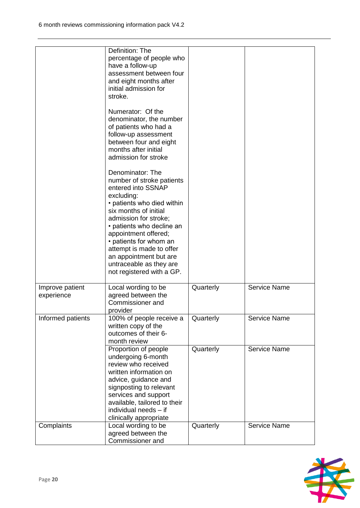|                               | Definition: The<br>percentage of people who<br>have a follow-up<br>assessment between four<br>and eight months after<br>initial admission for<br>stroke.<br>Numerator: Of the<br>denominator, the number<br>of patients who had a<br>follow-up assessment<br>between four and eight<br>months after initial<br>admission for stroke<br>Denominator: The<br>number of stroke patients<br>entered into SSNAP<br>excluding:<br>• patients who died within<br>six months of initial<br>admission for stroke;<br>• patients who decline an<br>appointment offered;<br>• patients for whom an<br>attempt is made to offer<br>an appointment but are<br>untraceable as they are<br>not registered with a GP. |           |                     |
|-------------------------------|-------------------------------------------------------------------------------------------------------------------------------------------------------------------------------------------------------------------------------------------------------------------------------------------------------------------------------------------------------------------------------------------------------------------------------------------------------------------------------------------------------------------------------------------------------------------------------------------------------------------------------------------------------------------------------------------------------|-----------|---------------------|
| Improve patient<br>experience | Local wording to be<br>agreed between the<br>Commissioner and<br>provider                                                                                                                                                                                                                                                                                                                                                                                                                                                                                                                                                                                                                             | Quarterly | <b>Service Name</b> |
| Informed patients             | 100% of people receive a<br>written copy of the<br>outcomes of their 6-<br>month review                                                                                                                                                                                                                                                                                                                                                                                                                                                                                                                                                                                                               | Quarterly | <b>Service Name</b> |
|                               | Proportion of people<br>undergoing 6-month<br>review who received<br>written information on<br>advice, guidance and<br>signposting to relevant<br>services and support<br>available, tailored to their<br>individual needs - if<br>clinically appropriate                                                                                                                                                                                                                                                                                                                                                                                                                                             | Quarterly | <b>Service Name</b> |
| Complaints                    | Local wording to be<br>agreed between the<br>Commissioner and                                                                                                                                                                                                                                                                                                                                                                                                                                                                                                                                                                                                                                         | Quarterly | <b>Service Name</b> |

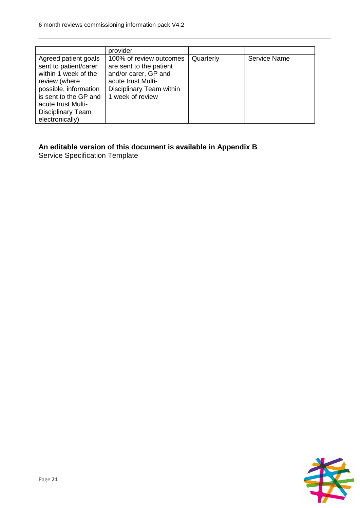|                                                                                                                                                                                                               | provider                                                                                                                                         |           |                     |
|---------------------------------------------------------------------------------------------------------------------------------------------------------------------------------------------------------------|--------------------------------------------------------------------------------------------------------------------------------------------------|-----------|---------------------|
| Agreed patient goals<br>sent to patient/carer<br>within 1 week of the<br>review (where<br>possible, information<br>is sent to the GP and<br>acute trust Multi-<br><b>Disciplinary Team</b><br>electronically) | 100% of review outcomes<br>are sent to the patient<br>and/or carer, GP and<br>acute trust Multi-<br>Disciplinary Team within<br>1 week of review | Quarterly | <b>Service Name</b> |

#### **An editable version of this document is available in Appendix B**

Service Specification Template

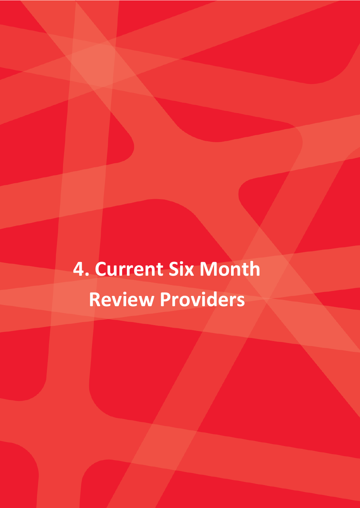**4. Current Six Month Review Providers**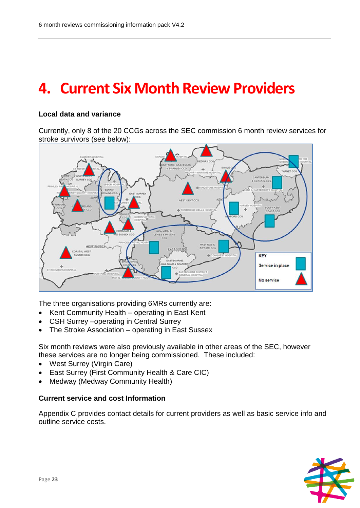### **4. Current Six Month Review Providers**

#### **Local data and variance**

Currently, only 8 of the 20 CCGs across the SEC commission 6 month review services for stroke survivors (see below):



The three organisations providing 6MRs currently are:

- Kent Community Health operating in East Kent
- CSH Surrey –operating in Central Surrey
- The Stroke Association operating in East Sussex

Six month reviews were also previously available in other areas of the SEC, however these services are no longer being commissioned. These included:

- West Surrey (Virgin Care)
- East Surrey (First Community Health & Care CIC)
- Medway (Medway Community Health)

#### **Current service and cost Information**

Appendix C provides contact details for current providers as well as basic service info and outline service costs.

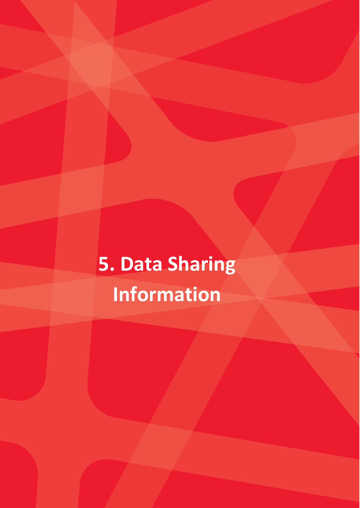## **5. Data Sharing Information**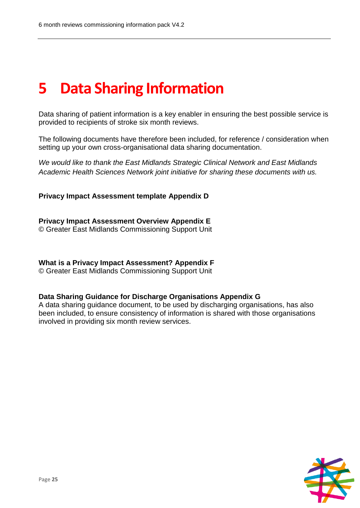### **5 Data Sharing Information**

Data sharing of patient information is a key enabler in ensuring the best possible service is provided to recipients of stroke six month reviews.

The following documents have therefore been included, for reference / consideration when setting up your own cross-organisational data sharing documentation.

*We would like to thank the East Midlands Strategic Clinical Network and East Midlands Academic Health Sciences Network joint initiative for sharing these documents with us.* 

**Privacy Impact Assessment template Appendix D**

**Privacy Impact Assessment Overview Appendix E** © Greater East Midlands Commissioning Support Unit

**What is a Privacy Impact Assessment? Appendix F** © Greater East Midlands Commissioning Support Unit

#### **Data Sharing Guidance for Discharge Organisations Appendix G**

A data sharing guidance document, to be used by discharging organisations, has also been included, to ensure consistency of information is shared with those organisations involved in providing six month review services.

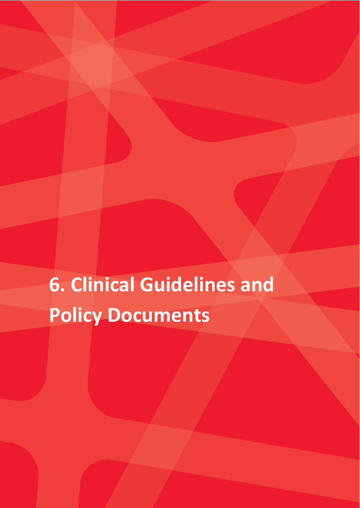**6. Clinical Guidelines and Policy Documents**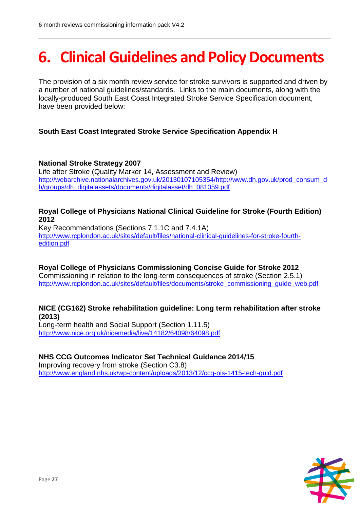## **6. Clinical Guidelines and Policy Documents**

The provision of a six month review service for stroke survivors is supported and driven by a number of national guidelines/standards. Links to the main documents, along with the locally-produced South East Coast Integrated Stroke Service Specification document, have been provided below:

#### **South East Coast Integrated Stroke Service Specification Appendix H**

#### **National Stroke Strategy 2007**

Life after Stroke (Quality Marker 14, Assessment and Review) [http://webarchive.nationalarchives.gov.uk/20130107105354/http://www.dh.gov.uk/prod\\_consum\\_d](http://webarchive.nationalarchives.gov.uk/20130107105354/http:/www.dh.gov.uk/prod_consum_dh/groups/dh_digitalassets/documents/digitalasset/dh_081059.pdf) [h/groups/dh\\_digitalassets/documents/digitalasset/dh\\_081059.pdf](http://webarchive.nationalarchives.gov.uk/20130107105354/http:/www.dh.gov.uk/prod_consum_dh/groups/dh_digitalassets/documents/digitalasset/dh_081059.pdf)

#### **Royal College of Physicians National Clinical Guideline for Stroke (Fourth Edition) 2012**

Key Recommendations (Sections 7.1.1C and 7.4.1A) [http://www.rcplondon.ac.uk/sites/default/files/national-clinical-guidelines-for-stroke-fourth](http://www.rcplondon.ac.uk/sites/default/files/national-clinical-guidelines-for-stroke-fourth-edition.pdf)[edition.pdf](http://www.rcplondon.ac.uk/sites/default/files/national-clinical-guidelines-for-stroke-fourth-edition.pdf)

**Royal College of Physicians Commissioning Concise Guide for Stroke 2012**  Commissioning in relation to the long-term consequences of stroke (Section 2.5.1) http://www.rcplondon.ac.uk/sites/default/files/documents/stroke\_commissioning\_quide\_web.pdf

#### **NICE (CG162) Stroke rehabilitation guideline: Long term rehabilitation after stroke (2013)**

Long-term health and Social Support (Section 1.11.5) <http://www.nice.org.uk/nicemedia/live/14182/64098/64098.pdf>

#### **NHS CCG Outcomes Indicator Set Technical Guidance 2014/15**

Improving recovery from stroke (Section C3.8) <http://www.england.nhs.uk/wp-content/uploads/2013/12/ccg-ois-1415-tech-guid.pdf>

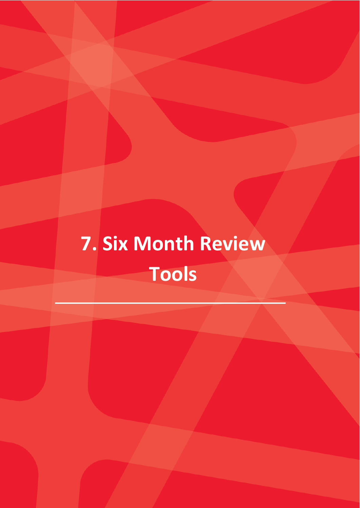## **7. Six Month Review Tools**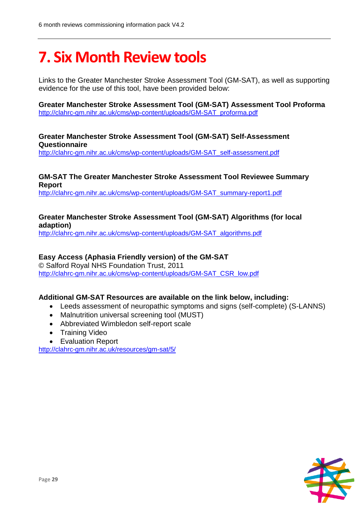### **7. Six Month Review tools**

Links to the Greater Manchester Stroke Assessment Tool (GM-SAT), as well as supporting evidence for the use of this tool, have been provided below:

**Greater Manchester Stroke Assessment Tool (GM-SAT) Assessment Tool Proforma** [http://clahrc-gm.nihr.ac.uk/cms/wp-content/uploads/GM-SAT\\_proforma.pdf](http://clahrc-gm.nihr.ac.uk/cms/wp-content/uploads/GM-SAT_proforma.pdf)

#### **Greater Manchester Stroke Assessment Tool (GM-SAT) Self-Assessment Questionnaire**

[http://clahrc-gm.nihr.ac.uk/cms/wp-content/uploads/GM-SAT\\_self-assessment.pdf](http://clahrc-gm.nihr.ac.uk/cms/wp-content/uploads/GM-SAT_self-assessment.pdf)

#### **GM-SAT The Greater Manchester Stroke Assessment Tool Reviewee Summary Report**

[http://clahrc-gm.nihr.ac.uk/cms/wp-content/uploads/GM-SAT\\_summary-report1.pdf](http://clahrc-gm.nihr.ac.uk/cms/wp-content/uploads/GM-SAT_summary-report1.pdf)

#### **Greater Manchester Stroke Assessment Tool (GM-SAT) Algorithms (for local adaption)**

[http://clahrc-gm.nihr.ac.uk/cms/wp-content/uploads/GM-SAT\\_algorithms.pdf](http://clahrc-gm.nihr.ac.uk/cms/wp-content/uploads/GM-SAT_algorithms.pdf)

#### **Easy Access (Aphasia Friendly version) of the GM-SAT**

© Salford Royal NHS Foundation Trust, 2011 [http://clahrc-gm.nihr.ac.uk/cms/wp-content/uploads/GM-SAT\\_CSR\\_low.pdf](http://clahrc-gm.nihr.ac.uk/cms/wp-content/uploads/GM-SAT_CSR_low.pdf)

#### **Additional GM-SAT Resources are available on the link below, including:**

- Leeds assessment of neuropathic symptoms and signs (self-complete) (S-LANNS)
- Malnutrition universal screening tool (MUST)
- Abbreviated Wimbledon self-report scale
- Training Video
- Evaluation Report

<http://clahrc-gm.nihr.ac.uk/resources/gm-sat/5/>

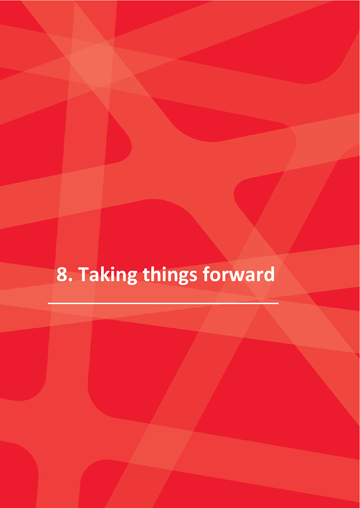## **8. Taking things forward**